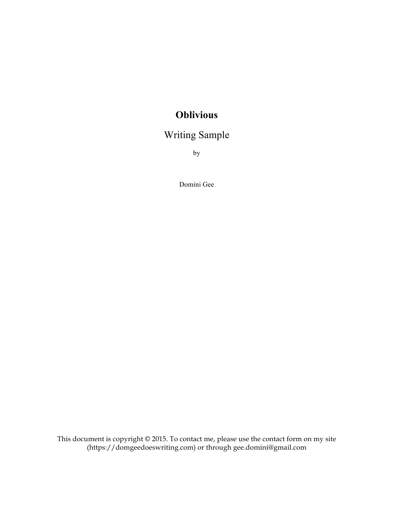## **Oblivious**

## Writing Sample

by

Domini Gee

This document is copyright © 2015. To contact me, please use the contact form on my site (https://domgeedoeswriting.com) or through gee.domini@gmail.com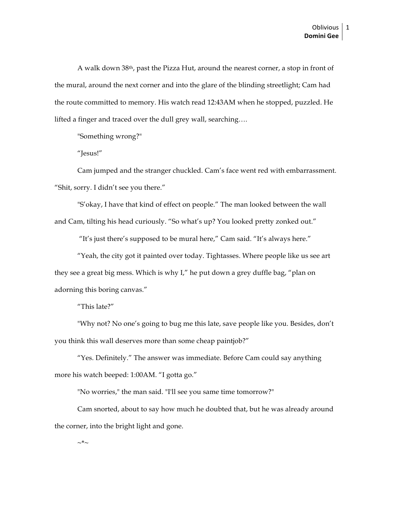A walk down 38th, past the Pizza Hut, around the nearest corner, a stop in front of the mural, around the next corner and into the glare of the blinding streetlight; Cam had the route committed to memory. His watch read 12:43AM when he stopped, puzzled. He lifted a finger and traced over the dull grey wall, searching….

"Something wrong?"

"Jesus!"

Cam jumped and the stranger chuckled. Cam's face went red with embarrassment. "Shit, sorry. I didn't see you there."

"S'okay, I have that kind of effect on people." The man looked between the wall and Cam, tilting his head curiously. "So what's up? You looked pretty zonked out."

"It's just there's supposed to be mural here," Cam said. "It's always here."

"Yeah, the city got it painted over today. Tightasses. Where people like us see art they see a great big mess. Which is why I," he put down a grey duffle bag, "plan on adorning this boring canvas."

"This late?"

"Why not? No one's going to bug me this late, save people like you. Besides, don't you think this wall deserves more than some cheap paintjob?"

"Yes. Definitely." The answer was immediate. Before Cam could say anything more his watch beeped: 1:00AM. "I gotta go."

"No worries," the man said. "I'll see you same time tomorrow?"

Cam snorted, about to say how much he doubted that, but he was already around the corner, into the bright light and gone.

 $\sim^*$ ~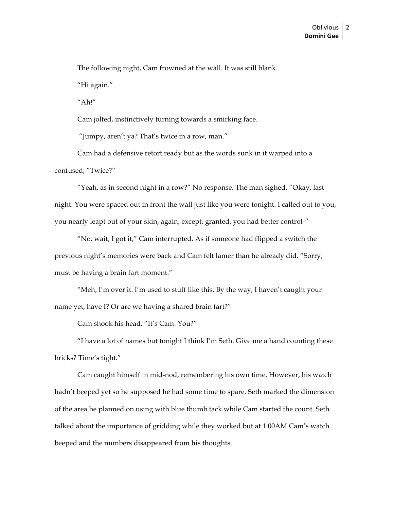The following night, Cam frowned at the wall. It was still blank. "Hi again."

"Ah!"

Cam jolted, instinctively turning towards a smirking face.

"Jumpy, aren't ya? That's twice in a row, man."

Cam had a defensive retort ready but as the words sunk in it warped into a confused, "Twice?"

"Yeah, as in second night in a row?" No response. The man sighed. "Okay, last night. You were spaced out in front the wall just like you were tonight. I called out to you, you nearly leapt out of your skin, again, except, granted, you had better control-"

"No, wait, I got it," Cam interrupted. As if someone had flipped a switch the previous night's memories were back and Cam felt lamer than he already did. "Sorry, must be having a brain fart moment."

"Meh, I'm over it. I'm used to stuff like this. By the way, I haven't caught your name yet, have I? Or are we having a shared brain fart?"

Cam shook his head. "It's Cam. You?"

"I have a lot of names but tonight I think I'm Seth. Give me a hand counting these bricks? Time's tight."

Cam caught himself in mid-nod, remembering his own time. However, his watch hadn't beeped yet so he supposed he had some time to spare. Seth marked the dimension of the area he planned on using with blue thumb tack while Cam started the count. Seth talked about the importance of gridding while they worked but at 1:00AM Cam's watch beeped and the numbers disappeared from his thoughts.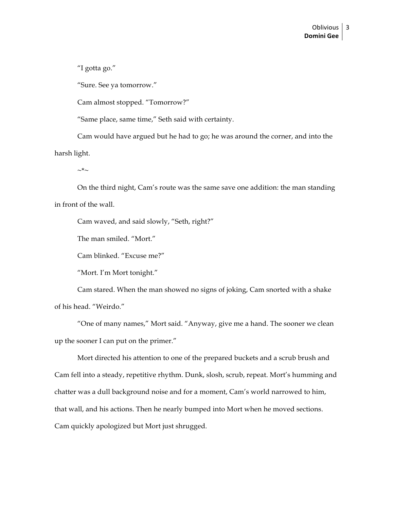"I gotta go."

"Sure. See ya tomorrow."

Cam almost stopped. "Tomorrow?"

"Same place, same time," Seth said with certainty.

Cam would have argued but he had to go; he was around the corner, and into the harsh light.

 $\sim^*$ ~

On the third night, Cam's route was the same save one addition: the man standing in front of the wall.

Cam waved, and said slowly, "Seth, right?"

The man smiled. "Mort."

Cam blinked. "Excuse me?"

"Mort. I'm Mort tonight."

Cam stared. When the man showed no signs of joking, Cam snorted with a shake of his head. "Weirdo."

"One of many names," Mort said. "Anyway, give me a hand. The sooner we clean up the sooner I can put on the primer."

Mort directed his attention to one of the prepared buckets and a scrub brush and Cam fell into a steady, repetitive rhythm. Dunk, slosh, scrub, repeat. Mort's humming and chatter was a dull background noise and for a moment, Cam's world narrowed to him, that wall, and his actions. Then he nearly bumped into Mort when he moved sections. Cam quickly apologized but Mort just shrugged.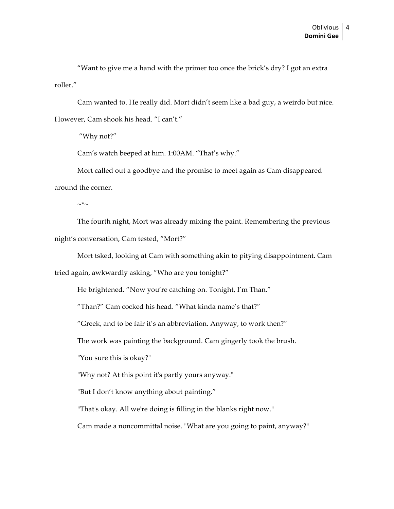"Want to give me a hand with the primer too once the brick's dry? I got an extra roller."

Cam wanted to. He really did. Mort didn't seem like a bad guy, a weirdo but nice. However, Cam shook his head. "I can't."

"Why not?"

Cam's watch beeped at him. 1:00AM. "That's why."

Mort called out a goodbye and the promise to meet again as Cam disappeared around the corner.

 $\sim^* \sim$ 

The fourth night, Mort was already mixing the paint. Remembering the previous night's conversation, Cam tested, "Mort?"

Mort tsked, looking at Cam with something akin to pitying disappointment. Cam

tried again, awkwardly asking, "Who are you tonight?"

He brightened. "Now you're catching on. Tonight, I'm Than."

"Than?" Cam cocked his head. "What kinda name's that?"

"Greek, and to be fair it's an abbreviation. Anyway, to work then?"

The work was painting the background. Cam gingerly took the brush.

"You sure this is okay?"

"Why not? At this point it's partly yours anyway."

"But I don't know anything about painting."

"That's okay. All we're doing is filling in the blanks right now."

Cam made a noncommittal noise. "What are you going to paint, anyway?"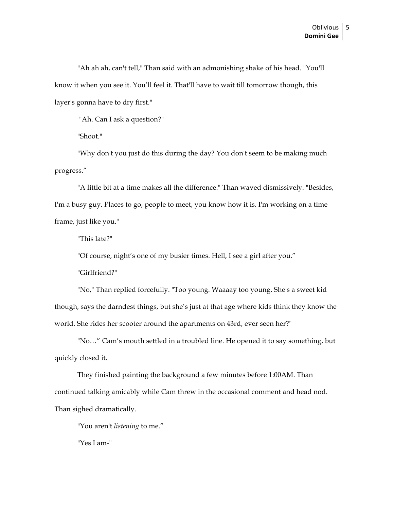"Ah ah ah, can't tell," Than said with an admonishing shake of his head. "You'll know it when you see it. You'll feel it. That'll have to wait till tomorrow though, this layer's gonna have to dry first."

"Ah. Can I ask a question?"

"Shoot."

"Why don't you just do this during the day? You don't seem to be making much progress."

"A little bit at a time makes all the difference." Than waved dismissively. "Besides, I'm a busy guy. Places to go, people to meet, you know how it is. I'm working on a time frame, just like you."

"This late?"

"Of course, night's one of my busier times. Hell, I see a girl after you."

"Girlfriend?"

"No," Than replied forcefully. "Too young. Waaaay too young. She's a sweet kid though, says the darndest things, but she's just at that age where kids think they know the world. She rides her scooter around the apartments on 43rd, ever seen her?"

"No…" Cam's mouth settled in a troubled line. He opened it to say something, but quickly closed it.

They finished painting the background a few minutes before 1:00AM. Than continued talking amicably while Cam threw in the occasional comment and head nod. Than sighed dramatically.

"You aren't *listening* to me."

"Yes I am-"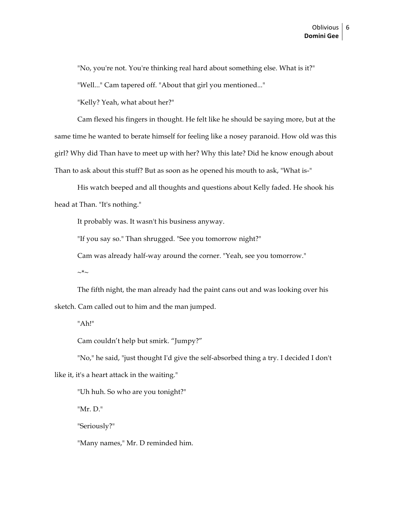"No, you're not. You're thinking real hard about something else. What is it?"

"Well..." Cam tapered off. "About that girl you mentioned..."

"Kelly? Yeah, what about her?"

Cam flexed his fingers in thought. He felt like he should be saying more, but at the same time he wanted to berate himself for feeling like a nosey paranoid. How old was this girl? Why did Than have to meet up with her? Why this late? Did he know enough about Than to ask about this stuff? But as soon as he opened his mouth to ask, "What is-"

His watch beeped and all thoughts and questions about Kelly faded. He shook his head at Than. "It's nothing."

It probably was. It wasn't his business anyway.

"If you say so." Than shrugged. "See you tomorrow night?"

Cam was already half-way around the corner. "Yeah, see you tomorrow."

 $\sim^*\sim$ 

The fifth night, the man already had the paint cans out and was looking over his sketch. Cam called out to him and the man jumped.

"Ah!"

Cam couldn't help but smirk. "Jumpy?"

"No," he said, "just thought I'd give the self-absorbed thing a try. I decided I don't

like it, it's a heart attack in the waiting."

"Uh huh. So who are you tonight?"

"Mr. D."

"Seriously?"

"Many names," Mr. D reminded him.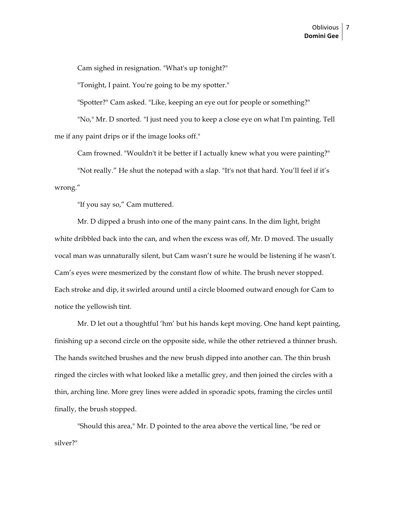Cam sighed in resignation. "What's up tonight?"

"Tonight, I paint. You're going to be my spotter."

"Spotter?" Cam asked. "Like, keeping an eye out for people or something?"

"No," Mr. D snorted. "I just need you to keep a close eye on what I'm painting. Tell me if any paint drips or if the image looks off."

Cam frowned. "Wouldn't it be better if I actually knew what you were painting?"

"Not really." He shut the notepad with a slap. "It's not that hard. You'll feel if it's wrong."

"If you say so," Cam muttered.

Mr. D dipped a brush into one of the many paint cans. In the dim light, bright white dribbled back into the can, and when the excess was off, Mr. D moved. The usually vocal man was unnaturally silent, but Cam wasn't sure he would be listening if he wasn't. Cam's eyes were mesmerized by the constant flow of white. The brush never stopped. Each stroke and dip, it swirled around until a circle bloomed outward enough for Cam to notice the yellowish tint.

Mr. D let out a thoughtful 'hm' but his hands kept moving. One hand kept painting, finishing up a second circle on the opposite side, while the other retrieved a thinner brush. The hands switched brushes and the new brush dipped into another can. The thin brush ringed the circles with what looked like a metallic grey, and then joined the circles with a thin, arching line. More grey lines were added in sporadic spots, framing the circles until finally, the brush stopped.

"Should this area," Mr. D pointed to the area above the vertical line, "be red or silver?"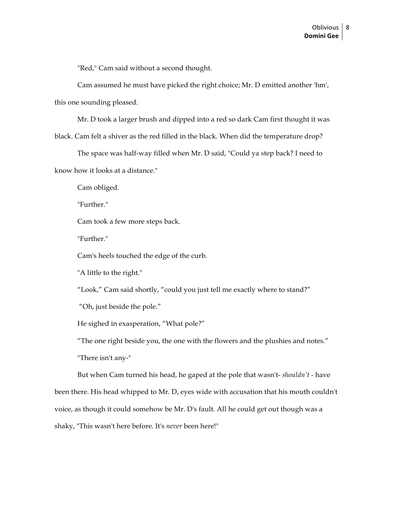"Red," Cam said without a second thought.

Cam assumed he must have picked the right choice; Mr. D emitted another 'hm',

this one sounding pleased.

Mr. D took a larger brush and dipped into a red so dark Cam first thought it was

black. Cam felt a shiver as the red filled in the black. When did the temperature drop?

The space was half-way filled when Mr. D said, "Could ya step back? I need to know how it looks at a distance."

Cam obliged.

"Further."

Cam took a few more steps back.

"Further."

Cam's heels touched the edge of the curb.

"A little to the right."

"Look," Cam said shortly, "could you just tell me exactly where to stand?"

"Oh, just beside the pole."

He sighed in exasperation, "What pole?"

"The one right beside you, the one with the flowers and the plushies and notes."

"There isn't any-"

But when Cam turned his head, he gaped at the pole that wasn't- *shouldn't -* have been there. His head whipped to Mr. D, eyes wide with accusation that his mouth couldn't voice, as though it could somehow be Mr. D's fault. All he could get out though was a shaky, "This wasn't here before. It's *never* been here!"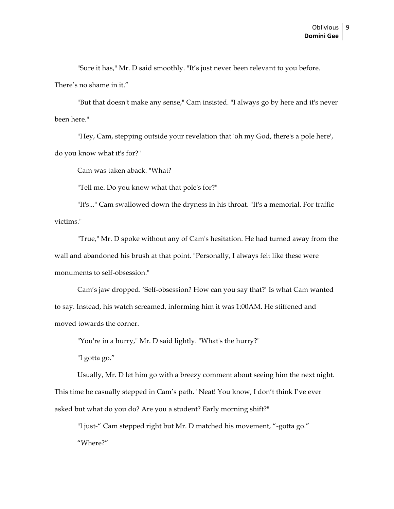"Sure it has," Mr. D said smoothly. "It's just never been relevant to you before. There's no shame in it."

"But that doesn't make any sense," Cam insisted. "I always go by here and it's never been here."

"Hey, Cam, stepping outside your revelation that 'oh my God, there's a pole here', do you know what it's for?"

Cam was taken aback. "What?

"Tell me. Do you know what that pole's for?"

"It's..." Cam swallowed down the dryness in his throat. "It's a memorial. For traffic victims."

"True," Mr. D spoke without any of Cam's hesitation. He had turned away from the wall and abandoned his brush at that point. "Personally, I always felt like these were monuments to self-obsession."

Cam's jaw dropped. 'Self-obsession? How can you say that?' Is what Cam wanted to say. Instead, his watch screamed, informing him it was 1:00AM. He stiffened and moved towards the corner.

"You're in a hurry," Mr. D said lightly. "What's the hurry?"

"I gotta go."

Usually, Mr. D let him go with a breezy comment about seeing him the next night. This time he casually stepped in Cam's path. "Neat! You know, I don't think I've ever asked but what do you do? Are you a student? Early morning shift?"

"I just-" Cam stepped right but Mr. D matched his movement, "-gotta go." "Where?"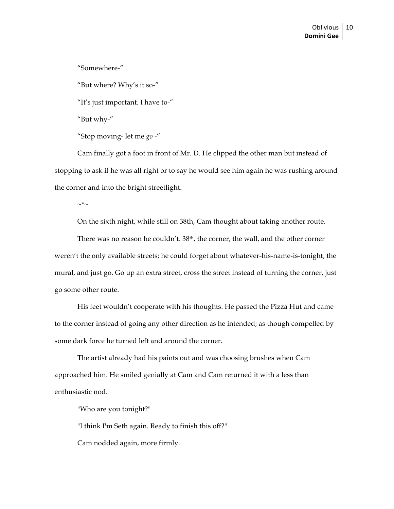"Somewhere-"

"But where? Why's it so-"

"It's just important. I have to-"

"But why-"

"Stop moving- let me *go* -"

Cam finally got a foot in front of Mr. D. He clipped the other man but instead of stopping to ask if he was all right or to say he would see him again he was rushing around the corner and into the bright streetlight.

 $\sim^* \sim$ 

On the sixth night, while still on 38th, Cam thought about taking another route.

There was no reason he couldn't. 38<sup>th</sup>, the corner, the wall, and the other corner weren't the only available streets; he could forget about whatever-his-name-is-tonight, the mural, and just go. Go up an extra street, cross the street instead of turning the corner, just go some other route.

His feet wouldn't cooperate with his thoughts. He passed the Pizza Hut and came to the corner instead of going any other direction as he intended; as though compelled by some dark force he turned left and around the corner.

The artist already had his paints out and was choosing brushes when Cam approached him. He smiled genially at Cam and Cam returned it with a less than enthusiastic nod.

"Who are you tonight?"

"I think I'm Seth again. Ready to finish this off?"

Cam nodded again, more firmly.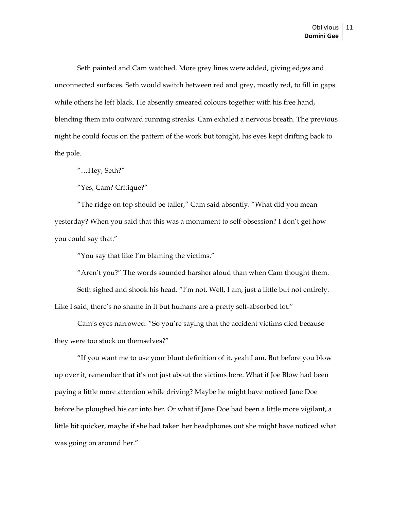Seth painted and Cam watched. More grey lines were added, giving edges and unconnected surfaces. Seth would switch between red and grey, mostly red, to fill in gaps while others he left black. He absently smeared colours together with his free hand, blending them into outward running streaks. Cam exhaled a nervous breath. The previous night he could focus on the pattern of the work but tonight, his eyes kept drifting back to the pole.

"…Hey, Seth?"

"Yes, Cam? Critique?"

"The ridge on top should be taller," Cam said absently. "What did you mean yesterday? When you said that this was a monument to self-obsession? I don't get how you could say that."

"You say that like I'm blaming the victims."

"Aren't you?" The words sounded harsher aloud than when Cam thought them. Seth sighed and shook his head. "I'm not. Well, I am, just a little but not entirely. Like I said, there's no shame in it but humans are a pretty self-absorbed lot."

Cam's eyes narrowed. "So you're saying that the accident victims died because they were too stuck on themselves?"

"If you want me to use your blunt definition of it, yeah I am. But before you blow up over it, remember that it's not just about the victims here. What if Joe Blow had been paying a little more attention while driving? Maybe he might have noticed Jane Doe before he ploughed his car into her. Or what if Jane Doe had been a little more vigilant, a little bit quicker, maybe if she had taken her headphones out she might have noticed what was going on around her."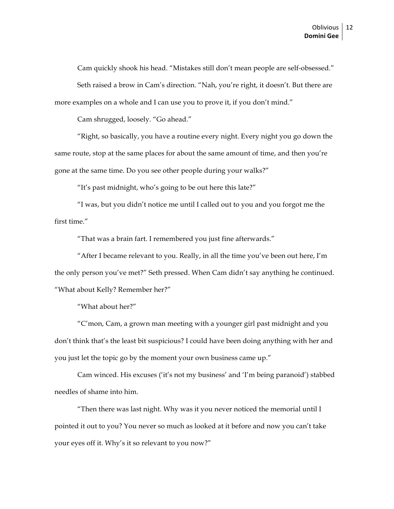Cam quickly shook his head. "Mistakes still don't mean people are self-obsessed." Seth raised a brow in Cam's direction. "Nah, you're right, it doesn't. But there are more examples on a whole and I can use you to prove it, if you don't mind."

Cam shrugged, loosely. "Go ahead."

"Right, so basically, you have a routine every night. Every night you go down the same route, stop at the same places for about the same amount of time, and then you're gone at the same time. Do you see other people during your walks?"

"It's past midnight, who's going to be out here this late?"

"I was, but you didn't notice me until I called out to you and you forgot me the first time."

"That was a brain fart. I remembered you just fine afterwards."

"After I became relevant to you. Really, in all the time you've been out here, I'm the only person you've met?" Seth pressed. When Cam didn't say anything he continued. "What about Kelly? Remember her?"

"What about her?"

"C'mon, Cam, a grown man meeting with a younger girl past midnight and you don't think that's the least bit suspicious? I could have been doing anything with her and you just let the topic go by the moment your own business came up."

Cam winced. His excuses ('it's not my business' and 'I'm being paranoid') stabbed needles of shame into him.

"Then there was last night. Why was it you never noticed the memorial until I pointed it out to you? You never so much as looked at it before and now you can't take your eyes off it. Why's it so relevant to you now?"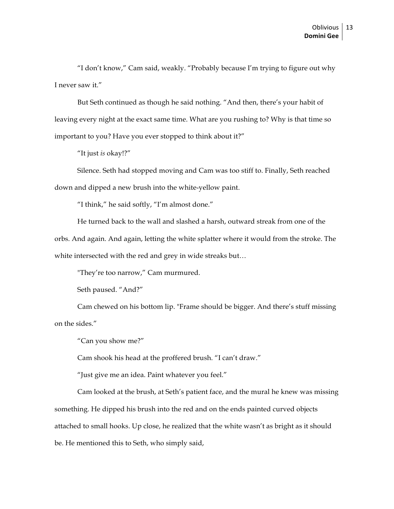"I don't know," Cam said, weakly. "Probably because I'm trying to figure out why I never saw it."

But Seth continued as though he said nothing. "And then, there's your habit of leaving every night at the exact same time. What are you rushing to? Why is that time so important to you? Have you ever stopped to think about it?"

"It just *is* okay!?"

Silence. Seth had stopped moving and Cam was too stiff to. Finally, Seth reached down and dipped a new brush into the white-yellow paint.

"I think," he said softly, "I'm almost done."

He turned back to the wall and slashed a harsh, outward streak from one of the

orbs. And again. And again, letting the white splatter where it would from the stroke. The white intersected with the red and grey in wide streaks but…

"They're too narrow," Cam murmured.

Seth paused. "And?"

Cam chewed on his bottom lip. "Frame should be bigger. And there's stuff missing on the sides."

"Can you show me?"

Cam shook his head at the proffered brush. "I can't draw."

"Just give me an idea. Paint whatever you feel."

Cam looked at the brush, at Seth's patient face, and the mural he knew was missing something. He dipped his brush into the red and on the ends painted curved objects attached to small hooks. Up close, he realized that the white wasn't as bright as it should be. He mentioned this to Seth, who simply said,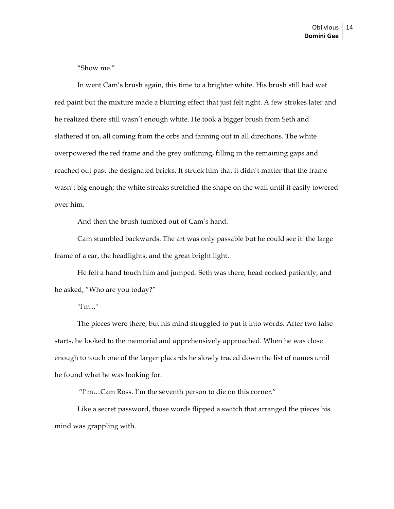"Show me."

In went Cam's brush again, this time to a brighter white. His brush still had wet red paint but the mixture made a blurring effect that just felt right. A few strokes later and he realized there still wasn't enough white. He took a bigger brush from Seth and slathered it on, all coming from the orbs and fanning out in all directions. The white overpowered the red frame and the grey outlining, filling in the remaining gaps and reached out past the designated bricks. It struck him that it didn't matter that the frame wasn't big enough; the white streaks stretched the shape on the wall until it easily towered over him.

And then the brush tumbled out of Cam's hand.

Cam stumbled backwards. The art was only passable but he could see it: the large frame of a car, the headlights, and the great bright light.

He felt a hand touch him and jumped. Seth was there, head cocked patiently, and he asked, "Who are you today?"

"I'm..."

The pieces were there, but his mind struggled to put it into words. After two false starts, he looked to the memorial and apprehensively approached. When he was close enough to touch one of the larger placards he slowly traced down the list of names until he found what he was looking for.

"I'm…Cam Ross. I'm the seventh person to die on this corner."

Like a secret password, those words flipped a switch that arranged the pieces his mind was grappling with.